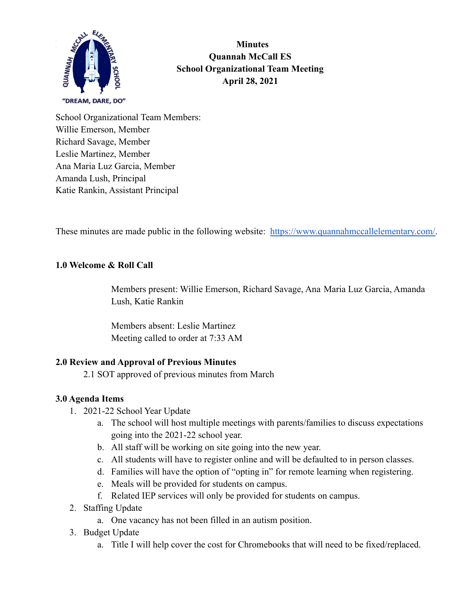

**Minutes Quannah McCall ES School Organizational Team Meeting April 28, 2021**

School Organizational Team Members: Willie Emerson, Member Richard Savage, Member Leslie Martinez, Member Ana Maria Luz Garcia, Member Amanda Lush, Principal Katie Rankin, Assistant Principal

These minutes are made public in the following website: [https://www.quannahmccallelementary.com/.](https://www.quannahmccallelementary.com/)

## **1.0 Welcome & Roll Call**

Members present: Willie Emerson, Richard Savage, Ana Maria Luz Garcia, Amanda Lush, Katie Rankin

Members absent: Leslie Martinez Meeting called to order at 7:33 AM

## **2.0 Review and Approval of Previous Minutes**

2.1 SOT approved of previous minutes from March

## **3.0 Agenda Items**

- 1. 2021-22 School Year Update
	- a. The school will host multiple meetings with parents/families to discuss expectations going into the 2021-22 school year.
	- b. All staff will be working on site going into the new year.
	- c. All students will have to register online and will be defaulted to in person classes.
	- d. Families will have the option of "opting in" for remote learning when registering.
	- e. Meals will be provided for students on campus.
	- f. Related IEP services will only be provided for students on campus.
- 2. Staffing Update
	- a. One vacancy has not been filled in an autism position.
- 3. Budget Update
	- a. Title I will help cover the cost for Chromebooks that will need to be fixed/replaced.